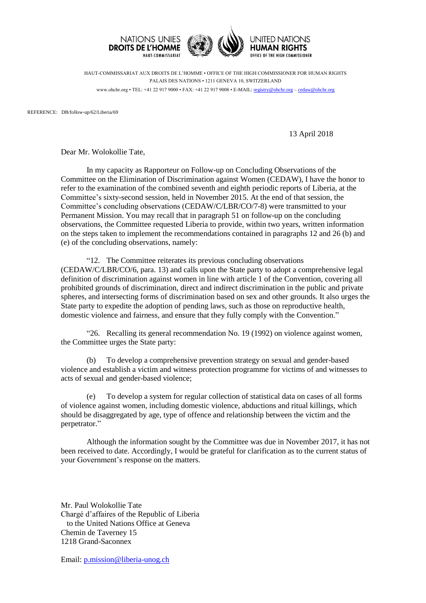

HAUT-COMMISSARIAT AUX DROITS DE L'HOMME • OFFICE OF THE HIGH COMMISSIONER FOR HUMAN RIGHTS PALAIS DES NATIONS • 1211 GENEVA 10, SWITZERLAND www.ohchr.org • TEL: +41 22 917 9000 • FAX: +41 22 917 9008 • E-MAIL: [registry@ohchr.org](mailto:registry@ohchr.org) – [cedaw@ohchr.org](mailto:cedaw@ohchr.org)

REFERENCE: DB/follow-up/62/Liberia/69

13 April 2018

Dear Mr. Wolokollie Tate,

In my capacity as Rapporteur on Follow-up on Concluding Observations of the Committee on the Elimination of Discrimination against Women (CEDAW), I have the honor to refer to the examination of the combined seventh and eighth periodic reports of Liberia, at the Committee's sixty-second session, held in November 2015. At the end of that session, the Committee's concluding observations (CEDAW/C/LBR/CO/7-8) were transmitted to your Permanent Mission. You may recall that in paragraph 51 on follow-up on the concluding observations, the Committee requested Liberia to provide, within two years, written information on the steps taken to implement the recommendations contained in paragraphs 12 and 26 (b) and (e) of the concluding observations, namely:

"12. The Committee reiterates its previous concluding observations (CEDAW/C/LBR/CO/6, para. 13) and calls upon the State party to adopt a comprehensive legal definition of discrimination against women in line with article 1 of the Convention, covering all prohibited grounds of discrimination, direct and indirect discrimination in the public and private spheres, and intersecting forms of discrimination based on sex and other grounds. It also urges the State party to expedite the adoption of pending laws, such as those on reproductive health, domestic violence and fairness, and ensure that they fully comply with the Convention."

"26. Recalling its general recommendation No. 19 (1992) on violence against women, the Committee urges the State party:

(b) To develop a comprehensive prevention strategy on sexual and gender-based violence and establish a victim and witness protection programme for victims of and witnesses to acts of sexual and gender-based violence;

(e) To develop a system for regular collection of statistical data on cases of all forms of violence against women, including domestic violence, abductions and ritual killings, which should be disaggregated by age, type of offence and relationship between the victim and the perpetrator."

Although the information sought by the Committee was due in November 2017, it has not been received to date. Accordingly, I would be grateful for clarification as to the current status of your Government's response on the matters.

Mr. Paul Wolokollie Tate Chargé d'affaires of the Republic of Liberia to the United Nations Office at Geneva Chemin de Taverney 15 1218 Grand-Saconnex

Email: [p.mission@liberia-unog.ch](mailto:p.mission@liberia-unog.ch)